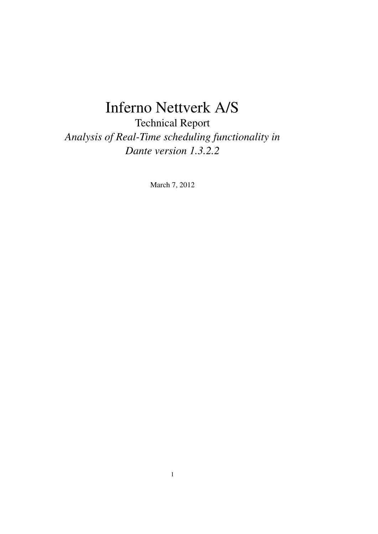# Inferno Nettverk A/S

Technical Report *Analysis of Real-Time scheduling functionality in Dante version 1.3.2.2*

March 7, 2012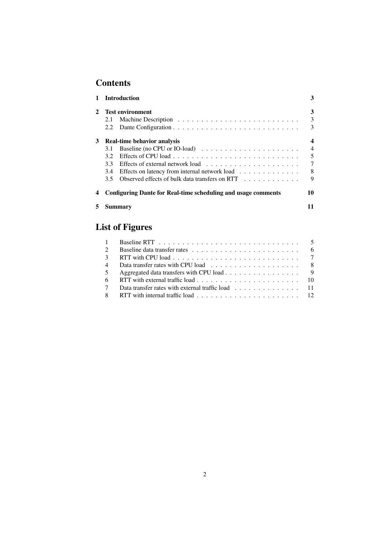# **Contents**

|   | <b>Introduction</b>                                                                    | 3              |
|---|----------------------------------------------------------------------------------------|----------------|
|   | <b>Test environment</b>                                                                | 3              |
|   | 2.1                                                                                    | 3              |
|   | 2.2                                                                                    | 3              |
| 3 | <b>Real-time behavior analysis</b>                                                     | 4              |
|   | Baseline (no CPU or IO-load) $\ldots \ldots \ldots \ldots \ldots \ldots \ldots$<br>3.1 | $\overline{4}$ |
|   | 3.2                                                                                    | 5              |
|   | 3.3                                                                                    | 7              |
|   | Effects on latency from internal network load<br>3.4                                   | 8              |
|   | Observed effects of bulk data transfers on RTT<br>3.5                                  | 9              |
|   | <b>Configuring Dante for Real-time scheduling and usage comments</b>                   | 10             |
|   | Summarv                                                                                |                |

| <b>List of Figures</b> |  |
|------------------------|--|
|------------------------|--|

| $\mathcal{D}_{\mathcal{L}}$ |                                                                                                           |  |
|-----------------------------|-----------------------------------------------------------------------------------------------------------|--|
| $\mathcal{R}$               | RTT with CPU load $\ldots \ldots \ldots \ldots \ldots \ldots \ldots \ldots \ldots \ldots$                 |  |
| $\overline{4}$              |                                                                                                           |  |
| 5 <sup>5</sup>              | Aggregated data transfers with CPU load 9                                                                 |  |
| 6                           |                                                                                                           |  |
| $7\phantom{.0}$             |                                                                                                           |  |
| 8 <sup>7</sup>              | RTT with internal traffic load $\ldots \ldots \ldots \ldots \ldots \ldots \ldots \ldots \ldots \ldots$ 12 |  |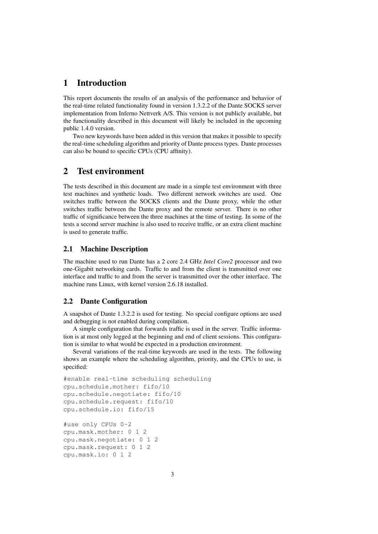# 1 Introduction

This report documents the results of an analysis of the performance and behavior of the real-time related functionality found in version 1.3.2.2 of the Dante SOCKS server implementation from Inferno Nettverk A/S. This version is not publicly available, but the functionality described in this document will likely be included in the upcoming public 1.4.0 version.

Two new keywords have been added in this version that makes it possible to specify the real-time scheduling algorithm and priority of Dante process types. Dante processes can also be bound to specific CPUs (CPU affinity).

## 2 Test environment

The tests described in this document are made in a simple test environment with three test machines and synthetic loads. Two different network switches are used. One switches traffic between the SOCKS clients and the Dante proxy, while the other switches traffic between the Dante proxy and the remote server. There is no other traffic of significance between the three machines at the time of testing. In some of the tests a second server machine is also used to receive traffic, or an extra client machine is used to generate traffic.

#### 2.1 Machine Description

The machine used to run Dante has a 2 core 2.4 GHz *Intel Core2* processor and two one-Gigabit networking cards. Traffic to and from the client is transmitted over one interface and traffic to and from the server is transmitted over the other interface. The machine runs Linux, with kernel version 2.6.18 installed.

#### 2.2 Dante Configuration

A snapshot of Dante 1.3.2.2 is used for testing. No special configure options are used and debugging is not enabled during compilation.

A simple configuration that forwards traffic is used in the server. Traffic information is at most only logged at the beginning and end of client sessions. This configuration is similar to what would be expected in a production environment.

Several variations of the real-time keywords are used in the tests. The following shows an example where the scheduling algorithm, priority, and the CPUs to use, is specified:

```
#enable real-time scheduling scheduling
cpu.schedule.mother: fifo/10
cpu.schedule.negotiate: fifo/10
cpu.schedule.request: fifo/10
cpu.schedule.io: fifo/15
#use only CPUs 0-2
```
cpu.mask.mother: 0 1 2 cpu.mask.negotiate: 0 1 2 cpu.mask.request: 0 1 2 cpu.mask.io: 0 1 2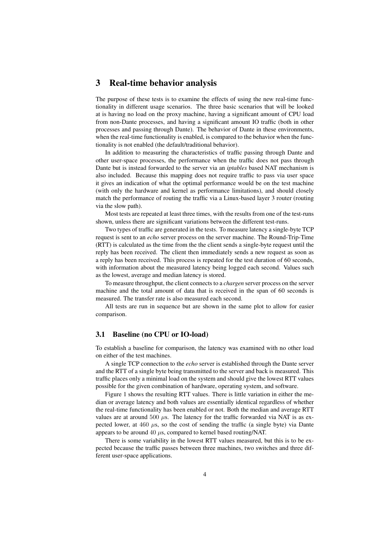## 3 Real-time behavior analysis

The purpose of these tests is to examine the effects of using the new real-time functionality in different usage scenarios. The three basic scenarios that will be looked at is having no load on the proxy machine, having a significant amount of CPU load from non-Dante processes, and having a significant amount IO traffic (both in other processes and passing through Dante). The behavior of Dante in these environments, when the real-time functionality is enabled, is compared to the behavior when the functionality is not enabled (the default/traditional behavior).

In addition to measuring the characteristics of traffic passing through Dante and other user-space processes, the performance when the traffic does not pass through Dante but is instead forwarded to the server via an *iptables* based NAT mechanism is also included. Because this mapping does not require traffic to pass via user space it gives an indication of what the optimal performance would be on the test machine (with only the hardware and kernel as performance limitations), and should closely match the performance of routing the traffic via a Linux-based layer 3 router (routing via the slow path).

Most tests are repeated at least three times, with the results from one of the test-runs shown, unless there are significant variations between the different test-runs.

Two types of traffic are generated in the tests. To measure latency a single-byte TCP request is sent to an *echo* server process on the server machine. The Round-Trip-Time (RTT) is calculated as the time from the the client sends a single-byte request until the reply has been received. The client then immediately sends a new request as soon as a reply has been received. This process is repeated for the test duration of 60 seconds, with information about the measured latency being logged each second. Values such as the lowest, average and median latency is stored.

To measure throughput, the client connects to a *chargen* server process on the server machine and the total amount of data that is received in the span of 60 seconds is measured. The transfer rate is also measured each second.

All tests are run in sequence but are shown in the same plot to allow for easier comparison.

#### 3.1 Baseline (no CPU or IO-load)

To establish a baseline for comparison, the latency was examined with no other load on either of the test machines.

A single TCP connection to the *echo* server is established through the Dante server and the RTT of a single byte being transmitted to the server and back is measured. This traffic places only a minimal load on the system and should give the lowest RTT values possible for the given combination of hardware, operating system, and software.

Figure 1 shows the resulting RTT values. There is little variation in either the median or average latency and both values are essentially identical regardless of whether the real-time functionality has been enabled or not. Both the median and average RTT values are at around 500  $\mu$ s. The latency for the traffic forwarded via NAT is as expected lower, at  $460 \mu s$ , so the cost of sending the traffic (a single byte) via Dante appears to be around 40  $\mu$ s, compared to kernel based routing/NAT.

There is some variability in the lowest RTT values measured, but this is to be expected because the traffic passes between three machines, two switches and three different user-space applications.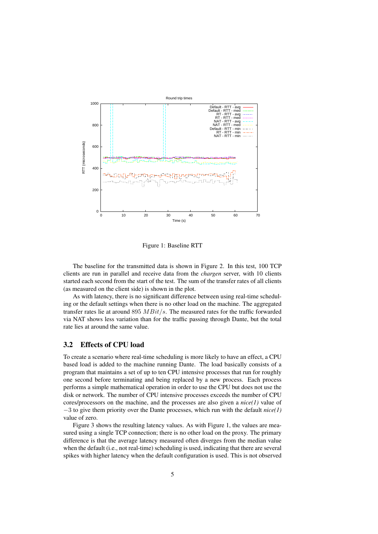

Figure 1: Baseline RTT

The baseline for the transmitted data is shown in Figure 2. In this test, 100 TCP clients are run in parallel and receive data from the *chargen* server, with 10 clients started each second from the start of the test. The sum of the transfer rates of all clients (as measured on the client side) is shown in the plot.

As with latency, there is no significant difference between using real-time scheduling or the default settings when there is no other load on the machine. The aggregated transfer rates lie at around 895  $MBit/s$ . The measured rates for the traffic forwarded via NAT shows less variation than for the traffic passing through Dante, but the total rate lies at around the same value.

#### 3.2 Effects of CPU load

To create a scenario where real-time scheduling is more likely to have an effect, a CPU based load is added to the machine running Dante. The load basically consists of a program that maintains a set of up to ten CPU intensive processes that run for roughly one second before terminating and being replaced by a new process. Each process performs a simple mathematical operation in order to use the CPU but does not use the disk or network. The number of CPU intensive processes exceeds the number of CPU cores/processors on the machine, and the processes are also given a *nice(1)* value of −3 to give them priority over the Dante processes, which run with the default *nice(1)* value of zero.

Figure 3 shows the resulting latency values. As with Figure 1, the values are measured using a single TCP connection; there is no other load on the proxy. The primary difference is that the average latency measured often diverges from the median value when the default (i.e., not real-time) scheduling is used, indicating that there are several spikes with higher latency when the default configuration is used. This is not observed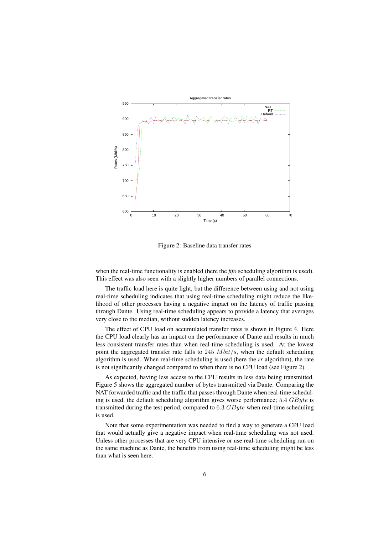

Figure 2: Baseline data transfer rates

when the real-time functionality is enabled (here the *fifo* scheduling algorithm is used). This effect was also seen with a slightly higher numbers of parallel connections.

The traffic load here is quite light, but the difference between using and not using real-time scheduling indicates that using real-time scheduling might reduce the likelihood of other processes having a negative impact on the latency of traffic passing through Dante. Using real-time scheduling appears to provide a latency that averages very close to the median, without sudden latency increases.

The effect of CPU load on accumulated transfer rates is shown in Figure 4. Here the CPU load clearly has an impact on the performance of Dante and results in much less consistent transfer rates than when real-time scheduling is used. At the lowest point the aggregated transfer rate falls to 245  $Mbit/s$ , when the default scheduling algorithm is used. When real-time scheduling is used (here the *rr* algorithm), the rate is not significantly changed compared to when there is no CPU load (see Figure 2).

As expected, having less access to the CPU results in less data being transmitted. Figure 5 shows the aggregated number of bytes transmitted via Dante. Comparing the NAT forwarded traffic and the traffic that passes through Dante when real-time scheduling is used, the default scheduling algorithm gives worse performance;  $5.4 \text{ } GByte$  is transmitted during the test period, compared to  $6.3$   $GByte$  when real-time scheduling is used.

Note that some experimentation was needed to find a way to generate a CPU load that would actually give a negative impact when real-time scheduling was not used. Unless other processes that are very CPU intensive or use real-time scheduling run on the same machine as Dante, the benefits from using real-time scheduling might be less than what is seen here.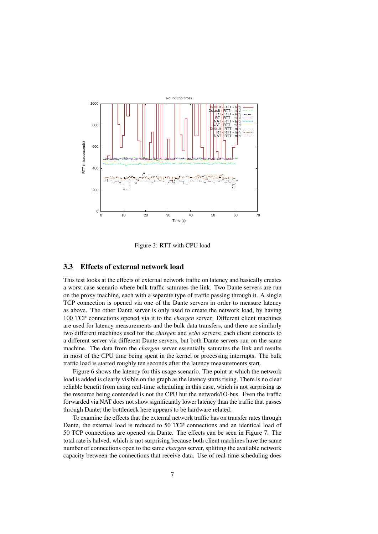

Figure 3: RTT with CPU load

#### 3.3 Effects of external network load

This test looks at the effects of external network traffic on latency and basically creates a worst case scenario where bulk traffic saturates the link. Two Dante servers are run on the proxy machine, each with a separate type of traffic passing through it. A single TCP connection is opened via one of the Dante servers in order to measure latency as above. The other Dante server is only used to create the network load, by having 100 TCP connections opened via it to the *chargen* server. Different client machines are used for latency measurements and the bulk data transfers, and there are similarly two different machines used for the *chargen* and *echo* servers; each client connects to a different server via different Dante servers, but both Dante servers run on the same machine. The data from the *chargen* server essentially saturates the link and results in most of the CPU time being spent in the kernel or processing interrupts. The bulk traffic load is started roughly ten seconds after the latency measurements start.

Figure 6 shows the latency for this usage scenario. The point at which the network load is added is clearly visible on the graph as the latency starts rising. There is no clear reliable benefit from using real-time scheduling in this case, which is not surprising as the resource being contended is not the CPU but the network/IO-bus. Even the traffic forwarded via NAT does not show significantly lower latency than the traffic that passes through Dante; the bottleneck here appears to be hardware related.

To examine the effects that the external network traffic has on transfer rates through Dante, the external load is reduced to 50 TCP connections and an identical load of 50 TCP connections are opened via Dante. The effects can be seen in Figure 7. The total rate is halved, which is not surprising because both client machines have the same number of connections open to the same *chargen* server, splitting the available network capacity between the connections that receive data. Use of real-time scheduling does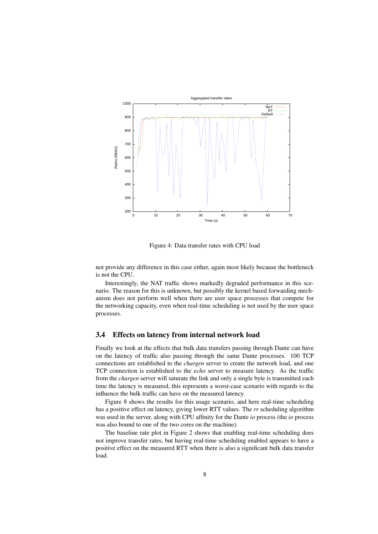

Figure 4: Data transfer rates with CPU load

not provide any difference in this case either, again most likely because the bottleneck is not the CPU.

Interestingly, the NAT traffic shows markedly degraded performance in this scenario. The reason for this is unknown, but possibly the kernel based forwarding mechanism does not perform well when there are user space processes that compete for the networking capacity, even when real-time scheduling is not used by the user space processes.

#### 3.4 Effects on latency from internal network load

Finally we look at the effects that bulk data transfers passing through Dante can have on the latency of traffic also passing through the same Dante processes. 100 TCP connections are established to the *chargen* server to create the network load, and one TCP connection is established to the *echo* server to measure latency. As the traffic from the *chargen* server will saturate the link and only a single byte is transmitted each time the latency is measured, this represents a worst-case scenario with regards to the influence the bulk traffic can have on the measured latency.

Figure 8 shows the results for this usage scenario, and here real-time scheduling has a positive effect on latency, giving lower RTT values. The *rr* scheduling algorithm was used in the server, along with CPU affinity for the Dante *io* process (the *io* process was also bound to one of the two cores on the machine).

The baseline rate plot in Figure 2 shows that enabling real-time scheduling does not improve transfer rates, but having real-time scheduling enabled appears to have a positive effect on the measured RTT when there is also a significant bulk data transfer load.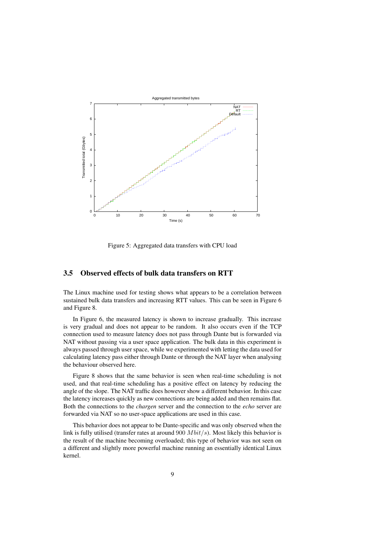

Figure 5: Aggregated data transfers with CPU load

#### 3.5 Observed effects of bulk data transfers on RTT

The Linux machine used for testing shows what appears to be a correlation between sustained bulk data transfers and increasing RTT values. This can be seen in Figure 6 and Figure 8.

In Figure 6, the measured latency is shown to increase gradually. This increase is very gradual and does not appear to be random. It also occurs even if the TCP connection used to measure latency does not pass through Dante but is forwarded via NAT without passing via a user space application. The bulk data in this experiment is always passed through user space, while we experimented with letting the data used for calculating latency pass either through Dante or through the NAT layer when analysing the behaviour observed here.

Figure 8 shows that the same behavior is seen when real-time scheduling is not used, and that real-time scheduling has a positive effect on latency by reducing the angle of the slope. The NAT traffic does however show a different behavior. In this case the latency increases quickly as new connections are being added and then remains flat. Both the connections to the *chargen* server and the connection to the *echo* server are forwarded via NAT so no user-space applications are used in this case.

This behavior does not appear to be Dante-specific and was only observed when the link is fully utilised (transfer rates at around  $900$   $Mbit/s$ ). Most likely this behavior is the result of the machine becoming overloaded; this type of behavior was not seen on a different and slightly more powerful machine running an essentially identical Linux kernel.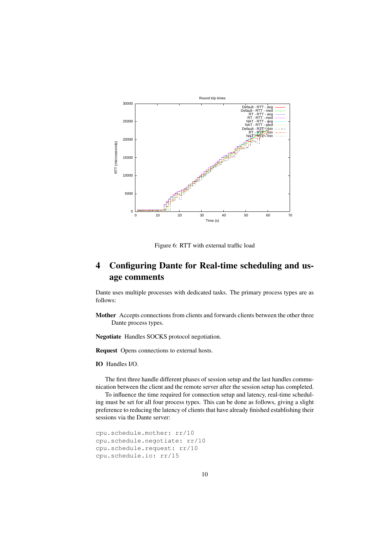

Figure 6: RTT with external traffic load

# 4 Configuring Dante for Real-time scheduling and usage comments

Dante uses multiple processes with dedicated tasks. The primary process types are as follows:

Mother Accepts connections from clients and forwards clients between the other three Dante process types.

Negotiate Handles SOCKS protocol negotiation.

Request Opens connections to external hosts.

#### IO Handles I/O.

The first three handle different phases of session setup and the last handles communication between the client and the remote server after the session setup has completed.

To influence the time required for connection setup and latency, real-time scheduling must be set for all four process types. This can be done as follows, giving a slight preference to reducing the latency of clients that have already finished establishing their sessions via the Dante server:

```
cpu.schedule.mother: rr/10
cpu.schedule.negotiate: rr/10
cpu.schedule.request: rr/10
cpu.schedule.io: rr/15
```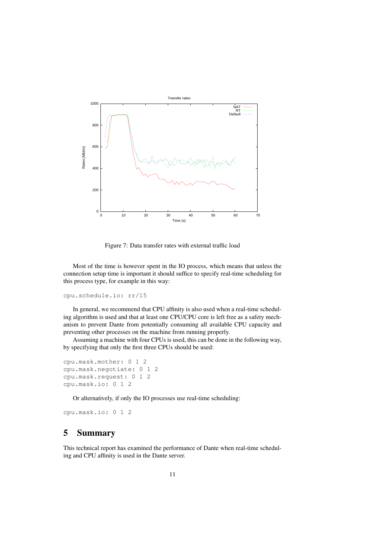

Figure 7: Data transfer rates with external traffic load

Most of the time is however spent in the IO process, which means that unless the connection setup time is important it should suffice to specify real-time scheduling for this process type, for example in this way:

```
cpu.schedule.io: rr/15
```
In general, we recommend that CPU affinity is also used when a real-time scheduling algorithm is used and that at least one CPU/CPU core is left free as a safety mechanism to prevent Dante from potentially consuming all available CPU capacity and preventing other processes on the machine from running properly.

Assuming a machine with four CPUs is used, this can be done in the following way, by specifying that only the first three CPUs should be used:

```
cpu.mask.mother: 0 1 2
cpu.mask.negotiate: 0 1 2
cpu.mask.request: 0 1 2
cpu.mask.io: 0 1 2
```
Or alternatively, if only the IO processes use real-time scheduling:

cpu.mask.io: 0 1 2

# 5 Summary

This technical report has examined the performance of Dante when real-time scheduling and CPU affinity is used in the Dante server.